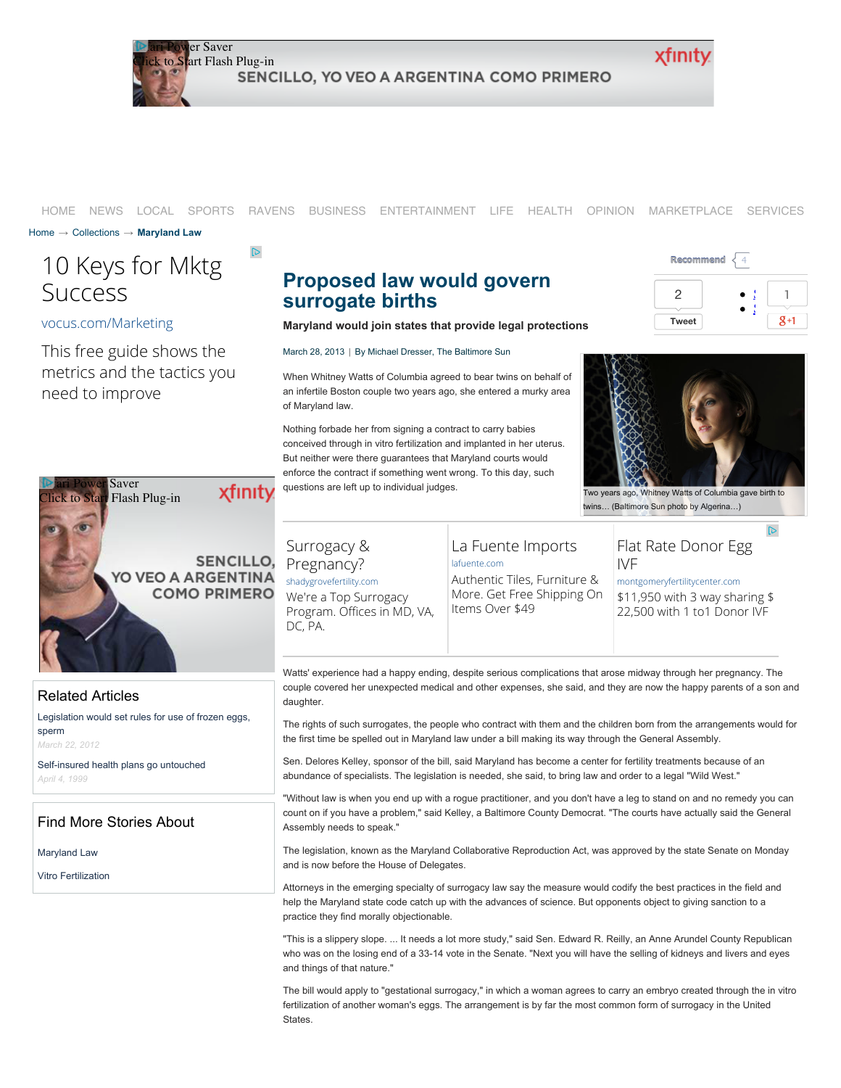

#### [HOME](http://www.baltimoresun.com/?track=bs-nav-main-home) [NEWS](http://www.baltimoresun.com/news/maryland/?track=bs-nav-main-news) [LOCAL](http://www.baltimoresun.com/local/?track=bs-nav-main-local) [SPORTS](http://www.baltimoresun.com/sports/) [RAVENS](http://www.baltimoresun.com/sports/ravens/) [BUSINESS](http://www.baltimoresun.com/business/?track=bs-nav-main-business) [ENTERTAINMENT](http://www.baltimoresun.com/entertainment/?track=bs-nav-main-ent) [LIFE](http://www.baltimoresun.com/features/?track=bs-nav-main-life) [HEALTH](http://www.baltimoresun.com/health/?track=bs-nav-main-health) [OPINION](http://www.baltimoresun.com/news/opinion/?track=bs-nav-main-opinion) [MARKETPLACE](http://www.baltimoresun.com/services/marketplace/) [SERVICES](http://www.baltimoresun.com/advertiser/services/)

[Home](http://www.baltimoresun.com/) → [Collections](http://articles.baltimoresun.com/) → **[Maryland Law](http://articles.baltimoresun.com/keyword/maryland-law)**

# [10 Keys for Mktg](http://www.googleadservices.com/pagead/aclk?sa=L&ai=CCnhMbMNrU_7pFs3Q0AG1t4CoCIrQs6kE4prd9Vj68bybzQEQASDt0pshUIHFgsIHYMnem43spIAQoAH-x5P_A8gBAagDAcgD4wSqBPYBT9Bjhk22P69Nqbz1rraq6T79oXDl6EOL2wmC7o6RqbtJv_P-mckrBP-HpGvL2AelFmng2OHcGTQK36N-4GSk5TS0JLcI_VX4YdoYUWOCHeJKIsZD0vbx2MEoM0vMno1UIiShu1XYKqJtz9MHJP5JLDzLP_bTvH9Lcpd5quJaoKlznEDaNnqWGtxBby9L7izYm4g6jRUGVM0xrQPs19V5T4G2pInzVIIt3bSyQ9YbqcyA_r0oTFTFSrmf7hZsphkdSc3FcQjLvmcdrFwtGVaD0nFdJdcuJBOXHf5BOWemYL8eM3zUm1P_lDb4D67AIXAjb5YkbtX-iAYBgAfqt2w&num=1&cid=5GhuQy_n0tI_4Cj4bpyrWa7n&sig=AOD64_0NvUFOopGUSTxlXzVPbbEa-2b3SA&client=ca-pub-8415620659137418&adurl=http://lp.vocus.com/ps/g/digitalmktgwk2-cn%3Fcid%3D70180000000pKFM%26mkwid%3DccLU6yUdQ%26pcrid%3D23862666010%26pmt%3D%26pkw%3D) Success

 $\mathbb{D}$ 

#### [vocus.com/Marketing](http://www.googleadservices.com/pagead/aclk?sa=L&ai=CCnhMbMNrU_7pFs3Q0AG1t4CoCIrQs6kE4prd9Vj68bybzQEQASDt0pshUIHFgsIHYMnem43spIAQoAH-x5P_A8gBAagDAcgD4wSqBPYBT9Bjhk22P69Nqbz1rraq6T79oXDl6EOL2wmC7o6RqbtJv_P-mckrBP-HpGvL2AelFmng2OHcGTQK36N-4GSk5TS0JLcI_VX4YdoYUWOCHeJKIsZD0vbx2MEoM0vMno1UIiShu1XYKqJtz9MHJP5JLDzLP_bTvH9Lcpd5quJaoKlznEDaNnqWGtxBby9L7izYm4g6jRUGVM0xrQPs19V5T4G2pInzVIIt3bSyQ9YbqcyA_r0oTFTFSrmf7hZsphkdSc3FcQjLvmcdrFwtGVaD0nFdJdcuJBOXHf5BOWemYL8eM3zUm1P_lDb4D67AIXAjb5YkbtX-iAYBgAfqt2w&num=1&cid=5GhuQy_n0tI_4Cj4bpyrWa7n&sig=AOD64_0NvUFOopGUSTxlXzVPbbEa-2b3SA&client=ca-pub-8415620659137418&adurl=http://lp.vocus.com/ps/g/digitalmktgwk2-cn%3Fcid%3D70180000000pKFM%26mkwid%3DccLU6yUdQ%26pcrid%3D23862666010%26pmt%3D%26pkw%3D)

This free guide shows the metrics and the tactics you need to improve



### **Proposed law would govern surrogate births Maryland would join states that provide legal protections**

March 28, 2013 | By Michael Dresser, The Baltimore Sun

When Whitney Watts of Columbia agreed to bear twins on behalf of an infertile Boston couple two years ago, she entered a murky area of Maryland law.

Nothing forbade her from signing a contract to carry babies conceived through in vitro fertilization and implanted in her uterus. But neither were there guarantees that Maryland courts would enforce the contract if something went wrong. To this day, such questions are left up to individual judges.

# [Surrogacy &](http://www.googleadservices.com/pagead/aclk?sa=L&ai=CE20HbMNrU8iqF5C4lQeXkYDIAd31t8oEvZK7hTLAjbcBEAEg7dKbISgDUPXes778_____wFgyd6bjeykgBCgAYS7k_8DyAEBqAMByAPDBKoE9QFP0G9OqYPk6t2L8oPJeg7FEHee7X0US6YHRTed-O5S1EYFtHSG1Mdc549AD6MbL8oA_nqEwro-ZvCyNhqKfrzakrbx0PM-WOJ-ci-xLiT4sbzRk3xpai67r4DgO561i30XPq-fFscskogTjY8JO2YGLW-lBL-tu5r-G2lOkvFm-9vPIHCuS7Mel0n-ZUoKHAPqR_r7AupN6x096XS-dGOyMRGn6YEnlnT_FKaKsTovGi9CAfwF9jyc_2GpZgVYKmSeI82ydbUWZkxyHU9MA_2sHYgnb--O2pHCg3QrhyPu553DqbvBkO-2oxNzPkEd85feZFRAtIgGAYAH5MRs&num=1&cid=5GjCnsUVizCYnsF7eWme0lG4&sig=AOD64_2l-2aDYbQPBrHjpJEpFzFwUgQyow&client=ca-pub-8415620659137418&adurl=http://www.shadygrovefertility.com/gestational-carrier) [shadygrovefertility.com](http://www.googleadservices.com/pagead/aclk?sa=L&ai=CE20HbMNrU8iqF5C4lQeXkYDIAd31t8oEvZK7hTLAjbcBEAEg7dKbISgDUPXes778_____wFgyd6bjeykgBCgAYS7k_8DyAEBqAMByAPDBKoE9QFP0G9OqYPk6t2L8oPJeg7FEHee7X0US6YHRTed-O5S1EYFtHSG1Mdc549AD6MbL8oA_nqEwro-ZvCyNhqKfrzakrbx0PM-WOJ-ci-xLiT4sbzRk3xpai67r4DgO561i30XPq-fFscskogTjY8JO2YGLW-lBL-tu5r-G2lOkvFm-9vPIHCuS7Mel0n-ZUoKHAPqR_r7AupN6x096XS-dGOyMRGn6YEnlnT_FKaKsTovGi9CAfwF9jyc_2GpZgVYKmSeI82ydbUWZkxyHU9MA_2sHYgnb--O2pHCg3QrhyPu553DqbvBkO-2oxNzPkEd85feZFRAtIgGAYAH5MRs&num=1&cid=5GjCnsUVizCYnsF7eWme0lG4&sig=AOD64_2l-2aDYbQPBrHjpJEpFzFwUgQyow&client=ca-pub-8415620659137418&adurl=http://www.shadygrovefertility.com/gestational-carrier)

We're a Top Surrogacy Program. Offices in MD, VA, DC, PA.

#### [La Fuente Imports](http://www.googleadservices.com/pagead/aclk?sa=L&ai=CO6nVbMNrU8iqF5C4lQeXkYDIAbv2zZMEi4CmiocBq7OVp5sBEAIg7dKbISgDUMyLtrD5_____wFgyd6bjeykgBCgAce0uf8DyAEBqAMByAPDBKoE-AFP0D8B2YPn6t2L8oPJeg7FEHee7X0US6YHRTed-O5S1EYFtHSG1Mdc549AD6MbL8oA_nqEwro-ZvCyNhqKfrzakrbx0PM-WOJ-ci-xLiT4sbzRk3xpai67r4DgO561i30XPq-fFscskogTjY8JO2YGLW-lBL-tu5r-G2lOkvFm-9vPIHCuS7Mel0n-ZUoKHAPqR_r7AupN6x096XS-dGOyMRGn6YEnlnT_FKaKsTovGi9CAfwF9jyc_2GpZgVYKmSeI82yfbWeerTuA5Hp7hYoiWPM_aCT2t0_gDDWhEcb5L02qrs0k-9DoBOGP0HV9Zb2ZqUenbm7lYgGAYAHoctG&num=2&cid=5GjCnsUVizCYnsF7eWme0lG4&sig=AOD64_0w6TY-6Lgb7fCNusKfkmaSTzBRXQ&client=ca-pub-8415620659137418&adurl=http://www.lafuente.com%3Flf_campaign%3D(roi)%2Bremarketing%26lf_adgroup%3Dabandoned%2Bcart%26lf_keyword%3D81f5546515407f4d.anonymous.google%26lf_creative%3D%26lf_source%3Dgoogle%26lf_medium%3Dcpc%26pausesaturday2) [lafuente.com](http://www.googleadservices.com/pagead/aclk?sa=L&ai=CO6nVbMNrU8iqF5C4lQeXkYDIAbv2zZMEi4CmiocBq7OVp5sBEAIg7dKbISgDUMyLtrD5_____wFgyd6bjeykgBCgAce0uf8DyAEBqAMByAPDBKoE-AFP0D8B2YPn6t2L8oPJeg7FEHee7X0US6YHRTed-O5S1EYFtHSG1Mdc549AD6MbL8oA_nqEwro-ZvCyNhqKfrzakrbx0PM-WOJ-ci-xLiT4sbzRk3xpai67r4DgO561i30XPq-fFscskogTjY8JO2YGLW-lBL-tu5r-G2lOkvFm-9vPIHCuS7Mel0n-ZUoKHAPqR_r7AupN6x096XS-dGOyMRGn6YEnlnT_FKaKsTovGi9CAfwF9jyc_2GpZgVYKmSeI82yfbWeerTuA5Hp7hYoiWPM_aCT2t0_gDDWhEcb5L02qrs0k-9DoBOGP0HV9Zb2ZqUenbm7lYgGAYAHoctG&num=2&cid=5GjCnsUVizCYnsF7eWme0lG4&sig=AOD64_0w6TY-6Lgb7fCNusKfkmaSTzBRXQ&client=ca-pub-8415620659137418&adurl=http://www.lafuente.com%3Flf_campaign%3D(roi)%2Bremarketing%26lf_adgroup%3Dabandoned%2Bcart%26lf_keyword%3D81f5546515407f4d.anonymous.google%26lf_creative%3D%26lf_source%3Dgoogle%26lf_medium%3Dcpc%26pausesaturday2)

Authentic Tiles, Furniture & More. Get Free Shipping On Items Over \$49





[Two years ago, Whitney Watts of Columbia gave birth to](http://www.trbimg.com/img-5154f3b6/turbine/bal-md-reproduction-p1-20130326/600/600x438) twins… (Baltimore Sun photo by Algerina…)

 $\mathbb{D}$ 

## [Flat Rate Donor Egg](http://www.googleadservices.com/pagead/aclk?sa=L&ai=C_2BwbMNrU8iqF5C4lQeXkYDIAcLSvtkEmvHPmI8Bk631_QgQAyDt0pshKANQvInp3_v_____AWDJ3puN7KSAEKABptLF2gPIAQGoAwHIA8MEqgTzAU_QPxLeg-bq3Yvyg8l6DsUQd57tfRRLpgdFN5347lLURgW0dIbUx1znj0APoxsvygD-eoTCuj5m8LI2Gop-vNqStvHQ8z5Y4n5yL7EuJPixvNGTfGlqLruvgOA7nrWLfRc-r58WxyySiBONjwk7ZgYtb6UEv627mv4baU6S8Wb7288gcK5Lsx6XSf5lSgocA-pH-vsC6k3rHT3pdL50Y7IxEafpgSeWdP8UpoqxOi8aL0IB_AX2PJz_YalmBVgqZJ5rzSlrOrBatdLwpMiXFkePxzpvo3PZ1T-AEN6EAxvknTaquzST70OiE7s4QDXxFOz0gogGAYAHwq26JQ&num=3&cid=5GjCnsUVizCYnsF7eWme0lG4&sig=AOD64_2CutqeXQsz_luuuAS9ze1ViyvxIA&client=ca-pub-8415620659137418&adurl=http://www.montgomeryfertilitycenter.com/) IVF

[montgomeryfertilitycenter.com](http://www.googleadservices.com/pagead/aclk?sa=L&ai=C_2BwbMNrU8iqF5C4lQeXkYDIAcLSvtkEmvHPmI8Bk631_QgQAyDt0pshKANQvInp3_v_____AWDJ3puN7KSAEKABptLF2gPIAQGoAwHIA8MEqgTzAU_QPxLeg-bq3Yvyg8l6DsUQd57tfRRLpgdFN5347lLURgW0dIbUx1znj0APoxsvygD-eoTCuj5m8LI2Gop-vNqStvHQ8z5Y4n5yL7EuJPixvNGTfGlqLruvgOA7nrWLfRc-r58WxyySiBONjwk7ZgYtb6UEv627mv4baU6S8Wb7288gcK5Lsx6XSf5lSgocA-pH-vsC6k3rHT3pdL50Y7IxEafpgSeWdP8UpoqxOi8aL0IB_AX2PJz_YalmBVgqZJ5rzSlrOrBatdLwpMiXFkePxzpvo3PZ1T-AEN6EAxvknTaquzST70OiE7s4QDXxFOz0gogGAYAHwq26JQ&num=3&cid=5GjCnsUVizCYnsF7eWme0lG4&sig=AOD64_2CutqeXQsz_luuuAS9ze1ViyvxIA&client=ca-pub-8415620659137418&adurl=http://www.montgomeryfertilitycenter.com/)

\$11,950 with 3 way sharing \$ 22,500 with 1 to1 Donor IVF

### Related Articles

[Legislation would set rules for use of frozen eggs,](http://articles.baltimoresun.com/2012-03-22/news/bs-md-donor-sperm-eggs-20120322_1_current-maryland-law-baltimore-county-democrat-justice-elena-kagan) sperm

*March 22, 2012*

[Self-insured health plans go untouched](http://articles.baltimoresun.com/1999-04-04/business/9904030260_1_self-insured-health-self-insured-plans-patient-rights) *April 4, 1999*

### Find More Stories About

[Maryland Law](http://articles.baltimoresun.com/keyword/maryland-law)

[Vitro Fertilization](http://articles.baltimoresun.com/keyword/vitro-fertilization)

Watts' experience had a happy ending, despite serious complications that arose midway through her pregnancy. The couple covered her unexpected medical and other expenses, she said, and they are now the happy parents of a son and daughter.

The rights of such surrogates, the people who contract with them and the children born from the arrangements would for the first time be spelled out in Maryland law under a bill making its way through the General Assembly.

Sen. Delores Kelley, sponsor of the bill, said Maryland has become a center for fertility treatments because of an abundance of specialists. The legislation is needed, she said, to bring law and order to a legal "Wild West."

"Without law is when you end up with a rogue practitioner, and you don't have a leg to stand on and no remedy you can count on if you have a problem," said Kelley, a Baltimore County Democrat. "The courts have actually said the General Assembly needs to speak."

The legislation, known as the Maryland Collaborative Reproduction Act, was approved by the state Senate on Monday and is now before the House of Delegates.

Attorneys in the emerging specialty of surrogacy law say the measure would codify the best practices in the field and help the Maryland state code catch up with the advances of science. But opponents object to giving sanction to a practice they find morally objectionable.

"This is a slippery slope. ... It needs a lot more study," said Sen. Edward R. Reilly, an Anne Arundel County Republican who was on the losing end of a 33-14 vote in the Senate. "Next you will have the selling of kidneys and livers and eyes and things of that nature."

The bill would apply to "gestational surrogacy," in which a woman agrees to carry an embryo created through the in vitro fertilization of another woman's eggs. The arrangement is by far the most common form of surrogacy in the United States.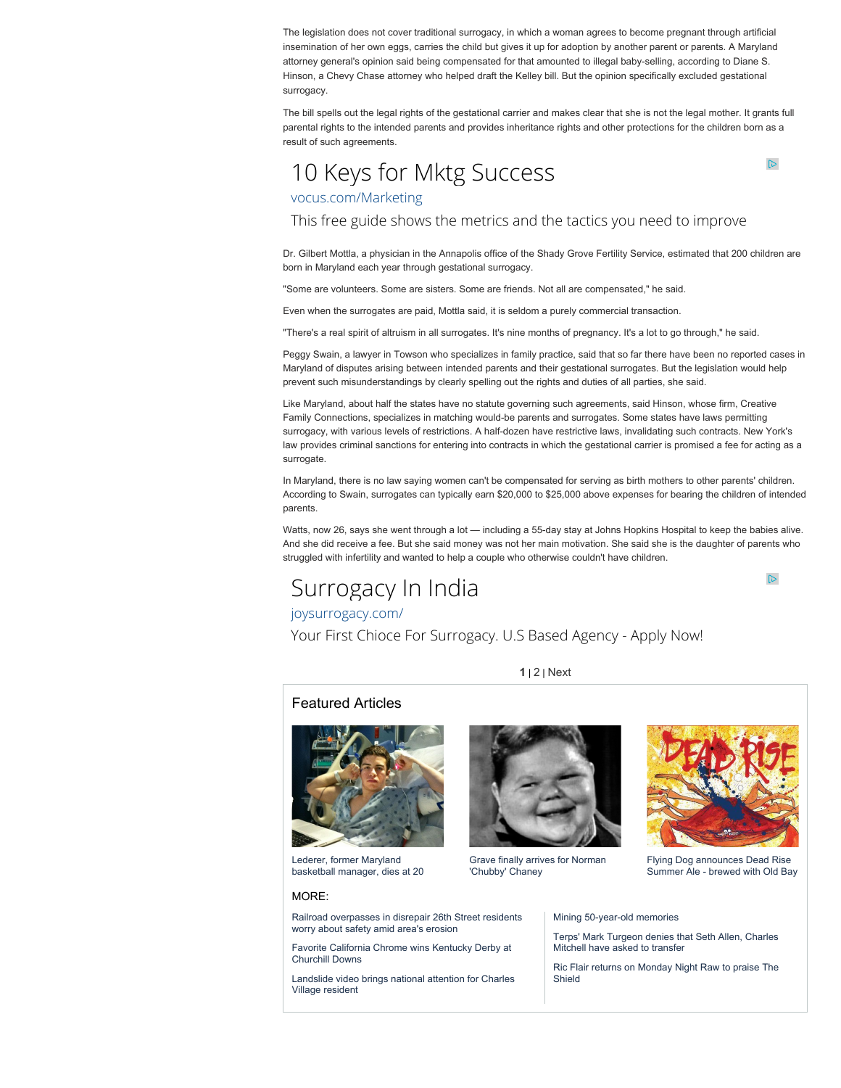The legislation does not cover traditional surrogacy, in which a woman agrees to become pregnant through artificial insemination of her own eggs, carries the child but gives it up for adoption by another parent or parents. A Maryland attorney general's opinion said being compensated for that amounted to illegal baby-selling, according to Diane S. Hinson, a Chevy Chase attorney who helped draft the Kelley bill. But the opinion specifically excluded gestational surrogacy.

The bill spells out the legal rights of the gestational carrier and makes clear that she is not the legal mother. It grants full parental rights to the intended parents and provides inheritance rights and other protections for the children born as a result of such agreements.

## [10 Keys for Mktg Success](http://www.googleadservices.com/pagead/aclk?sa=L&ai=CsqCMbMNrU6uRF9SNlAfi2IGIBIrQs6kE4prd9Vj68bybzQEQASDt0pshUIHFgsIHYMnem43spIAQoAH-x5P_A8gBAagDAcgDwwSqBPYBT9AYB971_txU4GRyTqUyvIuAM-6KpnafdoGQjP27VUnEstft1TqTcCJp2MrVPvPUFKQly2QZxs5hwnHYzh4hTplZIUzqik1a-1DweZf_Xe1hORXjA4ujCbEM9gUv69xAmh8_HVzJvdMFfoapJNx04ECasvcQqQOlRxrFQKLJWangaY87Mq_mQoCN3z3VRu2p07R-wiwO3JWfz0V_1TG27d_7VYl4EQ3JCA9MYJ6yRh8RAi8XS2MWgpOHIncnq-a9uh9QmeXnw66owoRc30ua6KOllS1VhachrXCa7FzLGS0V35xbg2ZzeQ3QPilTywAA4mz_sq87iAYBgAfqt2w&num=1&cid=5GiUVZA3XifxPQFO_cbJsfVP&sig=AOD64_1UIs2MEpJq_KnLDGUKsH8ktsDnEQ&client=ca-pub-8415620659137418&adurl=http://lp.vocus.com/ps/g/digitalmktgwk2-cn%3Fcid%3D70180000000pKFM%26mkwid%3DccLU6yUdQ%26pcrid%3D23862666010%26pmt%3D%26pkw%3D) [vocus.com/Marketing](http://www.googleadservices.com/pagead/aclk?sa=L&ai=CsqCMbMNrU6uRF9SNlAfi2IGIBIrQs6kE4prd9Vj68bybzQEQASDt0pshUIHFgsIHYMnem43spIAQoAH-x5P_A8gBAagDAcgDwwSqBPYBT9AYB971_txU4GRyTqUyvIuAM-6KpnafdoGQjP27VUnEstft1TqTcCJp2MrVPvPUFKQly2QZxs5hwnHYzh4hTplZIUzqik1a-1DweZf_Xe1hORXjA4ujCbEM9gUv69xAmh8_HVzJvdMFfoapJNx04ECasvcQqQOlRxrFQKLJWangaY87Mq_mQoCN3z3VRu2p07R-wiwO3JWfz0V_1TG27d_7VYl4EQ3JCA9MYJ6yRh8RAi8XS2MWgpOHIncnq-a9uh9QmeXnw66owoRc30ua6KOllS1VhachrXCa7FzLGS0V35xbg2ZzeQ3QPilTywAA4mz_sq87iAYBgAfqt2w&num=1&cid=5GiUVZA3XifxPQFO_cbJsfVP&sig=AOD64_1UIs2MEpJq_KnLDGUKsH8ktsDnEQ&client=ca-pub-8415620659137418&adurl=http://lp.vocus.com/ps/g/digitalmktgwk2-cn%3Fcid%3D70180000000pKFM%26mkwid%3DccLU6yUdQ%26pcrid%3D23862666010%26pmt%3D%26pkw%3D)

This free guide shows the metrics and the tactics you need to improve

Dr. Gilbert Mottla, a physician in the Annapolis office of the Shady Grove Fertility Service, estimated that 200 children are born in Maryland each year through gestational surrogacy.

"Some are volunteers. Some are sisters. Some are friends. Not all are compensated," he said.

Even when the surrogates are paid, Mottla said, it is seldom a purely commercial transaction.

"There's a real spirit of altruism in all surrogates. It's nine months of pregnancy. It's a lot to go through," he said.

Peggy Swain, a lawyer in Towson who specializes in family practice, said that so far there have been no reported cases in Maryland of disputes arising between intended parents and their gestational surrogates. But the legislation would help prevent such misunderstandings by clearly spelling out the rights and duties of all parties, she said.

Like Maryland, about half the states have no statute governing such agreements, said Hinson, whose firm, Creative Family Connections, specializes in matching would-be parents and surrogates. Some states have laws permitting surrogacy, with various levels of restrictions. A half-dozen have restrictive laws, invalidating such contracts. New York's law provides criminal sanctions for entering into contracts in which the gestational carrier is promised a fee for acting as a surrogate.

In Maryland, there is no law saying women can't be compensated for serving as birth mothers to other parents' children. According to Swain, surrogates can typically earn \$20,000 to \$25,000 above expenses for bearing the children of intended parents.

Watts, now 26, says she went through a lot — including a 55-day stay at Johns Hopkins Hospital to keep the babies alive. And she did receive a fee. But she said money was not her main motivation. She said she is the daughter of parents who struggled with infertility and wanted to help a couple who otherwise couldn't have children.

# [Surrogacy In India](http://www.googleadservices.com/pagead/aclk?sa=L&ai=CZyHibMNrU4ntFsPclwe3goGYAouomv4F64Sfm4cBwI23ARABIO3SmyFQ79GOA2DJ3puN7KSAEKAB9frP3QPIAQGoAwHIA8MEqgT2AU_QwlZgmVRbIz6cyUZCS_BJadT8DTNIKwmvPPp4r7qCYWar8zrb3pWkxteQ2Elem5neeG5zOjIj_bepqH17JoLx_fj27KiYfmM4usdbJ91S56DigObfI7nwev7HLDW1Djsp87TwYXoMfWiJY_w660j9SC_893pBh86sb0lzNllEGktV2wFI8qOwRGN-tM-3WYT-pQXx-4h79G0cn4zj3ZUk67vI1GRSB3JtWHVLMW5-_4Jktj_GZTnG2cl3YXPy5SawHjB5I8RjIgpdqLX4I84qRBKkEcRZpP9SRR5bJ3gkayy4a4iS-hS4gwcJnfM5oQgmEjI9HogGAYAH84SwIg&num=1&cid=5Git4z3WsjrvoBHbkE9qR-Z5&sig=AOD64_0dBjhMzJWBbkLJ7aM0qSuJLSR8UA&client=ca-pub-8415620659137418&adurl=http://www.joysurrogacy.com/)

[joysurrogacy.com/](http://www.googleadservices.com/pagead/aclk?sa=L&ai=CZyHibMNrU4ntFsPclwe3goGYAouomv4F64Sfm4cBwI23ARABIO3SmyFQ79GOA2DJ3puN7KSAEKAB9frP3QPIAQGoAwHIA8MEqgT2AU_QwlZgmVRbIz6cyUZCS_BJadT8DTNIKwmvPPp4r7qCYWar8zrb3pWkxteQ2Elem5neeG5zOjIj_bepqH17JoLx_fj27KiYfmM4usdbJ91S56DigObfI7nwev7HLDW1Djsp87TwYXoMfWiJY_w660j9SC_893pBh86sb0lzNllEGktV2wFI8qOwRGN-tM-3WYT-pQXx-4h79G0cn4zj3ZUk67vI1GRSB3JtWHVLMW5-_4Jktj_GZTnG2cl3YXPy5SawHjB5I8RjIgpdqLX4I84qRBKkEcRZpP9SRR5bJ3gkayy4a4iS-hS4gwcJnfM5oQgmEjI9HogGAYAH84SwIg&num=1&cid=5Git4z3WsjrvoBHbkE9qR-Z5&sig=AOD64_0dBjhMzJWBbkLJ7aM0qSuJLSR8UA&client=ca-pub-8415620659137418&adurl=http://www.joysurrogacy.com/)

Your First Chioce For Surrogacy. U.S Based Agency - Apply Now!

**1** | [2](http://articles.baltimoresun.com/2013-03-28/news/bs-md-collaborative-reproduction-20130325_1_surrogacy-law-vitro-fertilization-maryland-law/2) | [Next](http://articles.baltimoresun.com/2013-03-28/news/bs-md-collaborative-reproduction-20130325_1_surrogacy-law-vitro-fertilization-maryland-law/2)

#### Featured Articles



Lederer, former Maryland [basketball manager, dies at 20](http://articles.baltimoresun.com/2014-03-12/news/bs-md-ob-zachary-lederer-20140311_1_zach-lederer-christine-lederer-dez-wells)

#### MORE:

[Railroad overpasses in disrepair 26th Street residents](http://articles.baltimoresun.com/1998-10-19/news/1998292047_1_railroad-tracks-railroad-properties-city-properties) worry about safety amid area's erosion

[Favorite California Chrome wins Kentucky Derby at](http://articles.baltimoresun.com/2014-05-03/sports/bal-kentucky-derby-2014-california-chrome-20140503_1_santa-anita-derby-dale-romans-horse) Churchill Downs

[Landslide video brings national attention for Charles](http://articles.baltimoresun.com/2014-05-03/news/bal-landslide-video-brings-national-attention-for-charles-village-resident-20140503_1_video-national-attention-landslide) Village resident



[Grave finally arrives for Norman](http://articles.baltimoresun.com/2012-11-07/features/bal-grave-finally-arrives-for-norman-chubby-chaney-20121106_1_baltimore-electrical-worker-ubsy-chubsy-ubsy) 'Chubby' Chaney



 $\mathbb{D}$ 

 $\mathbb{D}$ 

[Summer Ale - brewed with Old Bay](http://articles.baltimoresun.com/2014-04-04/entertainment/bal-flying-dog-old-bay-20140404_1_flying-dog-old-bay-true-blue-program)

[Mining 50-year-old memories](http://articles.baltimoresun.com/2000-09-09/news/0009090210_1_tamas-veer-psychiatric-hospital)

[Terps' Mark Turgeon denies that Seth Allen, Charles](http://articles.baltimoresun.com/2014-04-30/sports/bal-nick-faust-oregon-state-20140430_1_seth-allen-nick-faust-mark-turgeon) Mitchell have asked to transfer

[Ric Flair returns on Monday Night Raw to praise The](http://articles.baltimoresun.com/2014-04-29/sports/bal-wwe-raw-ric-flair-shield-evolution-20140429_1_ric-flair-extreme-rules-the-shield) Shield

Flying Dog announces Dead Rise